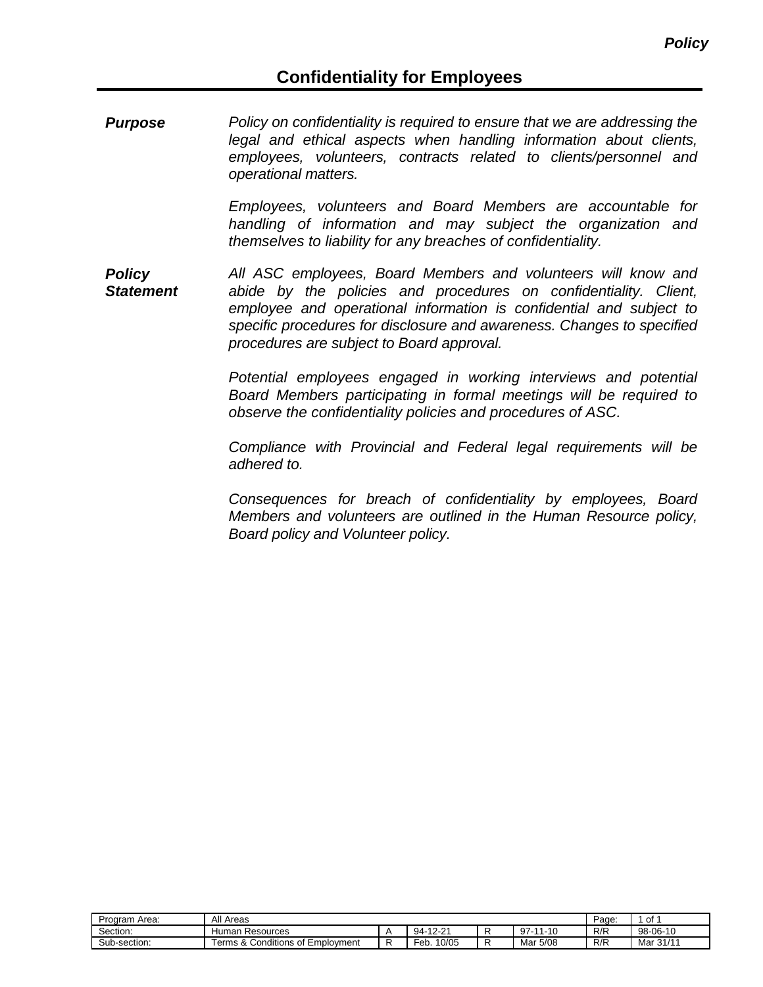*Purpose Policy on confidentiality is required to ensure that we are addressing the legal and ethical aspects when handling information about clients, employees, volunteers, contracts related to clients/personnel and operational matters.*

> *Employees, volunteers and Board Members are accountable for handling of information and may subject the organization and themselves to liability for any breaches of confidentiality.*

*Policy Statement All ASC employees, Board Members and volunteers will know and abide by the policies and procedures on confidentiality. Client, employee and operational information is confidential and subject to specific procedures for disclosure and awareness. Changes to specified procedures are subject to Board approval.*

> *Potential employees engaged in working interviews and potential Board Members participating in formal meetings will be required to observe the confidentiality policies and procedures of ASC.*

> *Compliance with Provincial and Federal legal requirements will be adhered to.*

> *Consequences for breach of confidentiality by employees, Board Members and volunteers are outlined in the Human Resource policy, Board policy and Volunteer policy.*

| Program Area: | All Areas                                         | Page.                        | of             |     |           |
|---------------|---------------------------------------------------|------------------------------|----------------|-----|-----------|
| Section:      | Human<br>า Resources                              | -12-21<br>94-                | $97 -$<br>1-10 | R/R | 98-06-10  |
| Sub-section:  | <br>Conditions of Employment<br>Terms<br>$\alpha$ | <br>0/05<br><sup>≂</sup> eb. | Mar 5/08       | R/R | Mar 31/11 |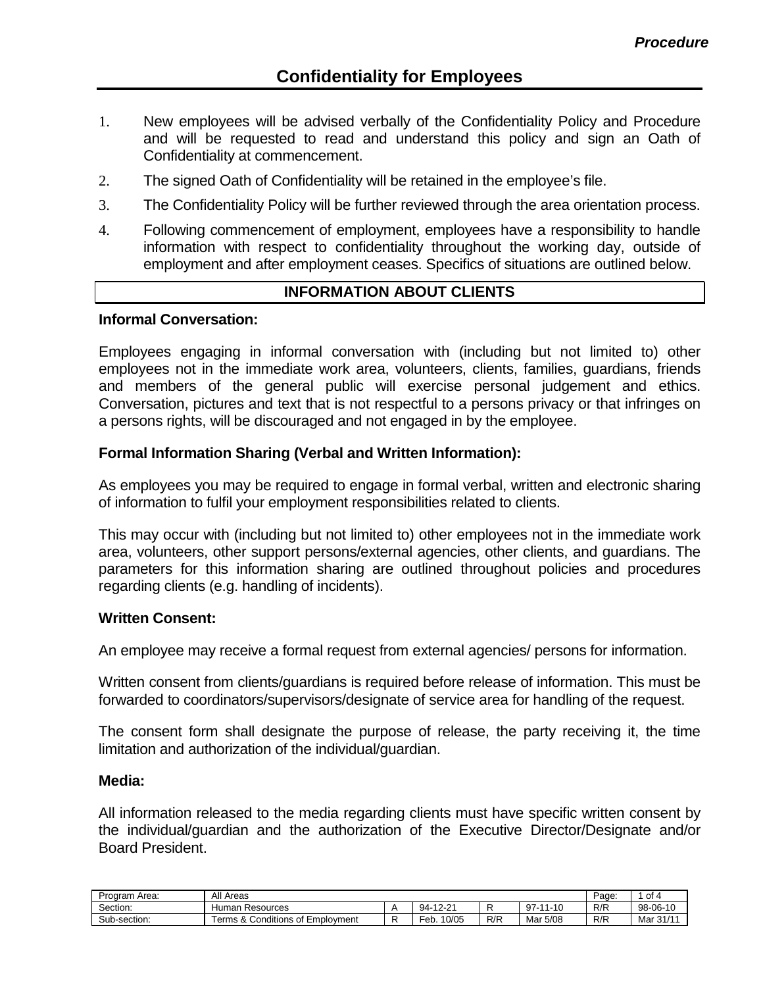- 1. New employees will be advised verbally of the Confidentiality Policy and Procedure and will be requested to read and understand this policy and sign an Oath of Confidentiality at commencement.
- 2. The signed Oath of Confidentiality will be retained in the employee's file.
- 3. The Confidentiality Policy will be further reviewed through the area orientation process.
- 4. Following commencement of employment, employees have a responsibility to handle information with respect to confidentiality throughout the working day, outside of employment and after employment ceases. Specifics of situations are outlined below.

#### **INFORMATION ABOUT CLIENTS**

#### **Informal Conversation:**

Employees engaging in informal conversation with (including but not limited to) other employees not in the immediate work area, volunteers, clients, families, guardians, friends and members of the general public will exercise personal judgement and ethics. Conversation, pictures and text that is not respectful to a persons privacy or that infringes on a persons rights, will be discouraged and not engaged in by the employee.

#### **Formal Information Sharing (Verbal and Written Information):**

As employees you may be required to engage in formal verbal, written and electronic sharing of information to fulfil your employment responsibilities related to clients.

This may occur with (including but not limited to) other employees not in the immediate work area, volunteers, other support persons/external agencies, other clients, and guardians. The parameters for this information sharing are outlined throughout policies and procedures regarding clients (e.g. handling of incidents).

#### **Written Consent:**

An employee may receive a formal request from external agencies/ persons for information.

Written consent from clients/guardians is required before release of information. This must be forwarded to coordinators/supervisors/designate of service area for handling of the request.

The consent form shall designate the purpose of release, the party receiving it, the time limitation and authorization of the individual/guardian.

#### **Media:**

All information released to the media regarding clients must have specific written consent by the individual/guardian and the authorization of the Executive Director/Designate and/or Board President.

| Program Area: | All Areas                                                |  |               |     |                |     | οf        |
|---------------|----------------------------------------------------------|--|---------------|-----|----------------|-----|-----------|
| Section:      | Resources<br>Human                                       |  | -12-21<br>-94 |     | $97 -$<br>1-10 | R/R | 98-06-10  |
| Sub-section:  | Conditions of $\Gamma$<br>erms<br>Employment<br>$\alpha$ |  | 10/05<br>-ер. | R/R | Mar 5/08       | R/R | Mar 31/11 |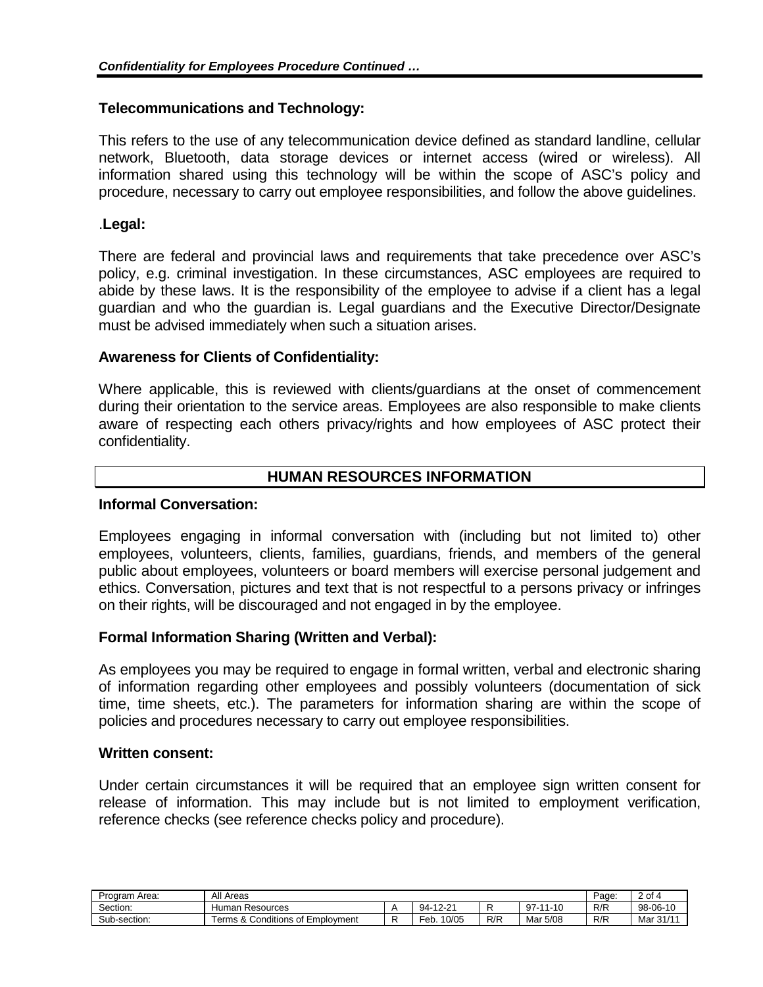## **Telecommunications and Technology:**

This refers to the use of any telecommunication device defined as standard landline, cellular network, Bluetooth, data storage devices or internet access (wired or wireless). All information shared using this technology will be within the scope of ASC's policy and procedure, necessary to carry out employee responsibilities, and follow the above guidelines.

## .**Legal:**

There are federal and provincial laws and requirements that take precedence over ASC's policy, e.g. criminal investigation. In these circumstances, ASC employees are required to abide by these laws. It is the responsibility of the employee to advise if a client has a legal guardian and who the guardian is. Legal guardians and the Executive Director/Designate must be advised immediately when such a situation arises.

## **Awareness for Clients of Confidentiality:**

Where applicable, this is reviewed with clients/guardians at the onset of commencement during their orientation to the service areas. Employees are also responsible to make clients aware of respecting each others privacy/rights and how employees of ASC protect their confidentiality.

# **HUMAN RESOURCES INFORMATION**

#### **Informal Conversation:**

Employees engaging in informal conversation with (including but not limited to) other employees, volunteers, clients, families, guardians, friends, and members of the general public about employees, volunteers or board members will exercise personal judgement and ethics. Conversation, pictures and text that is not respectful to a persons privacy or infringes on their rights, will be discouraged and not engaged in by the employee.

#### **Formal Information Sharing (Written and Verbal):**

As employees you may be required to engage in formal written, verbal and electronic sharing of information regarding other employees and possibly volunteers (documentation of sick time, time sheets, etc.). The parameters for information sharing are within the scope of policies and procedures necessary to carry out employee responsibilities.

#### **Written consent:**

Under certain circumstances it will be required that an employee sign written consent for release of information. This may include but is not limited to employment verification, reference checks (see reference checks policy and procedure).

| Program Area: | All Areas                              | Page:         | of 4 |               |     |           |
|---------------|----------------------------------------|---------------|------|---------------|-----|-----------|
| Section:      | Human Resources                        | 94-12-21      |      | 97-<br>-11-10 | R/R | 98-06-10  |
| Sub-section:  | & Conditions of Employment<br>erms & O | 10/05<br>-eb. | R/R  | Mar 5/08      | R/R | Mar 31/11 |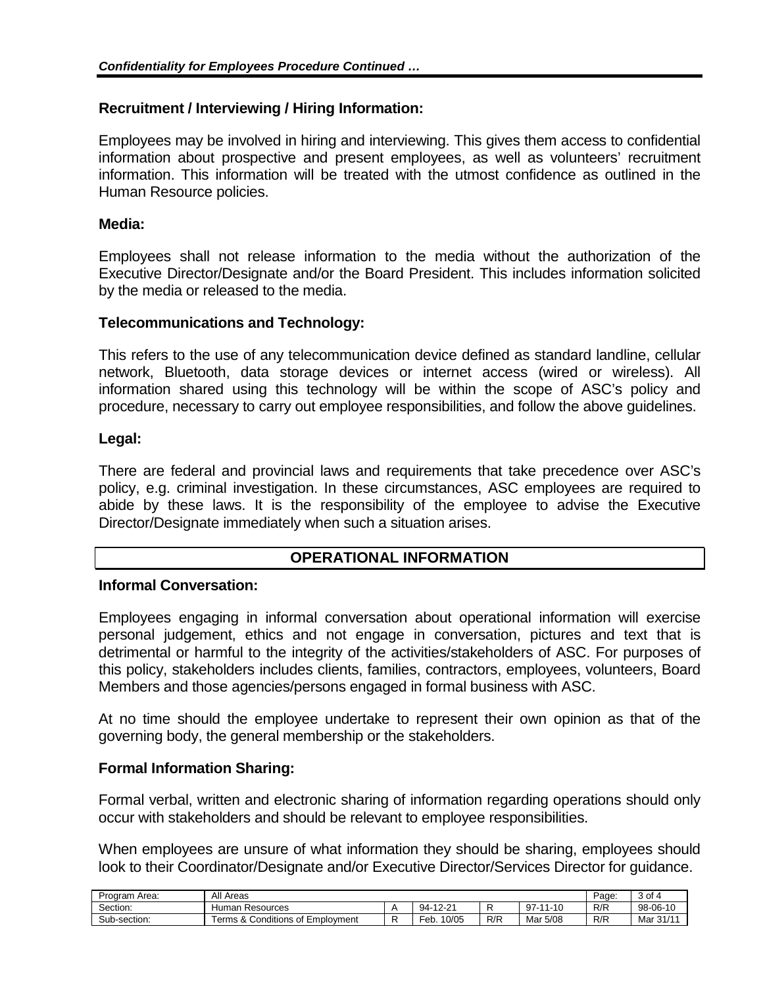# **Recruitment / Interviewing / Hiring Information:**

Employees may be involved in hiring and interviewing. This gives them access to confidential information about prospective and present employees, as well as volunteers' recruitment information. This information will be treated with the utmost confidence as outlined in the Human Resource policies.

## **Media:**

Employees shall not release information to the media without the authorization of the Executive Director/Designate and/or the Board President. This includes information solicited by the media or released to the media.

## **Telecommunications and Technology:**

This refers to the use of any telecommunication device defined as standard landline, cellular network, Bluetooth, data storage devices or internet access (wired or wireless). All information shared using this technology will be within the scope of ASC's policy and procedure, necessary to carry out employee responsibilities, and follow the above guidelines.

## **Legal:**

There are federal and provincial laws and requirements that take precedence over ASC's policy, e.g. criminal investigation. In these circumstances, ASC employees are required to abide by these laws. It is the responsibility of the employee to advise the Executive Director/Designate immediately when such a situation arises.

# **OPERATIONAL INFORMATION**

# **Informal Conversation:**

Employees engaging in informal conversation about operational information will exercise personal judgement, ethics and not engage in conversation, pictures and text that is detrimental or harmful to the integrity of the activities/stakeholders of ASC. For purposes of this policy, stakeholders includes clients, families, contractors, employees, volunteers, Board Members and those agencies/persons engaged in formal business with ASC.

At no time should the employee undertake to represent their own opinion as that of the governing body, the general membership or the stakeholders.

# **Formal Information Sharing:**

Formal verbal, written and electronic sharing of information regarding operations should only occur with stakeholders and should be relevant to employee responsibilities.

When employees are unsure of what information they should be sharing, employees should look to their Coordinator/Designate and/or Executive Director/Services Director for guidance.

| Area:<br>Program | All Areas                          |  |                 |     |                   |     | ∕ of ہ          |
|------------------|------------------------------------|--|-----------------|-----|-------------------|-----|-----------------|
| Section:         | Human Resources                    |  | -12-21<br>$94-$ |     | 97<br>11-10<br>×. | R/R | 98-06-10        |
| Sub-section:     | Conditions of Employment<br>erms & |  | 10/05<br>Feb.   | R/R | 5/08<br>Mar       | R/R | 31/1<br>Mar 31/ |